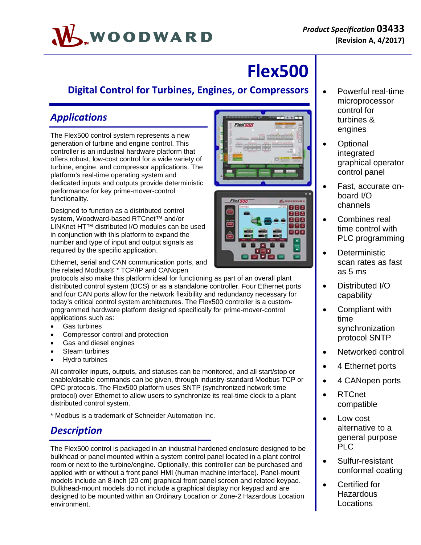# WOODWARD

## **Flex500**

## **Digital Control for Turbines, Engines, or Compressors**

## *Applications*

The Flex500 control system represents a new generation of turbine and engine control. This controller is an industrial hardware platform that offers robust, low-cost control for a wide variety of turbine, engine, and compressor applications. The platform's real-time operating system and dedicated inputs and outputs provide deterministic performance for key prime-mover-control functionality.

Designed to function as a distributed control system, Woodward-based RTCnet™ and/or LINKnet HT™ distributed I/O modules can be used in conjunction with this platform to expand the number and type of input and output signals as required by the specific application.

Ethernet, serial and CAN communication ports, and the related Modbus® \* TCP/IP and CANopen

protocols also make this platform ideal for functioning as part of an overall plant distributed control system (DCS) or as a standalone controller. Four Ethernet ports and four CAN ports allow for the network flexibility and redundancy necessary for today's critical control system architectures. The Flex500 controller is a customprogrammed hardware platform designed specifically for prime-mover-control applications such as:

- Gas turbines
- Compressor control and protection
- Gas and diesel engines
- Steam turbines
- Hydro turbines

All controller inputs, outputs, and statuses can be monitored, and all start/stop or enable/disable commands can be given, through industry-standard Modbus TCP or OPC protocols. The Flex500 platform uses SNTP (synchronized network time protocol) over Ethernet to allow users to synchronize its real-time clock to a plant distributed control system.

\* Modbus is a trademark of Schneider Automation Inc.

## *Description*

The Flex500 control is packaged in an industrial hardened enclosure designed to be bulkhead or panel mounted within a system control panel located in a plant control room or next to the turbine/engine. Optionally, this controller can be purchased and applied with or without a front panel HMI (human machine interface). Panel-mount models include an 8-inch (20 cm) graphical front panel screen and related keypad. Bulkhead-mount models do not include a graphical display nor keypad and are designed to be mounted within an Ordinary Location or Zone-2 Hazardous Location environment.





- Powerful real-time microprocessor control for turbines & engines
- **Optional** integrated graphical operator control panel
- Fast, accurate onboard I/O channels
- Combines real time control with PLC programming
- **Deterministic** scan rates as fast as 5 ms
- Distributed I/O capability
- Compliant with time synchronization protocol SNTP
- Networked control
- 4 Ethernet ports
- 4 CANopen ports
- RTCnet compatible
- Low cost alternative to a general purpose PLC
- Sulfur-resistant conformal coating
- Certified for **Hazardous** Locations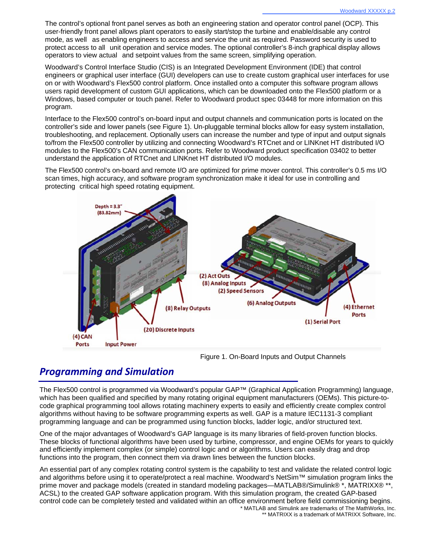The control's optional front panel serves as both an engineering station and operator control panel (OCP). This user-friendly front panel allows plant operators to easily start/stop the turbine and enable/disable any control mode, as well as enabling engineers to access and service the unit as required. Password security is used to protect access to all unit operation and service modes. The optional controller's 8-inch graphical display allows operators to view actual and setpoint values from the same screen, simplifying operation.

Woodward's Control Interface Studio (CIS) is an Integrated Development Environment (IDE) that control engineers or graphical user interface (GUI) developers can use to create custom graphical user interfaces for use on or with Woodward's Flex500 control platform. Once installed onto a computer this software program allows users rapid development of custom GUI applications, which can be downloaded onto the Flex500 platform or a Windows, based computer or touch panel. Refer to Woodward product spec 03448 for more information on this program.

Interface to the Flex500 control's on-board input and output channels and communication ports is located on the controller's side and lower panels (see Figure 1). Un-pluggable terminal blocks allow for easy system installation, troubleshooting, and replacement. Optionally users can increase the number and type of input and output signals to/from the Flex500 controller by utilizing and connecting Woodward's RTCnet and or LINKnet HT distributed I/O modules to the Flex500's CAN communication ports. Refer to Woodward product specification 03402 to better understand the application of RTCnet and LINKnet HT distributed I/O modules.

The Flex500 control's on-board and remote I/O are optimized for prime mover control. This controller's 0.5 ms I/O scan times, high accuracy, and software program synchronization make it ideal for use in controlling and protecting critical high speed rotating equipment.



Figure 1. On-Board Inputs and Output Channels

## *Programming and Simulation*

The Flex500 control is programmed via Woodward's popular GAP™ (Graphical Application Programming) language, which has been qualified and specified by many rotating original equipment manufacturers (OEMs). This picture-tocode graphical programming tool allows rotating machinery experts to easily and efficiently create complex control algorithms without having to be software programming experts as well. GAP is a mature IEC1131-3 compliant programming language and can be programmed using function blocks, ladder logic, and/or structured text.

One of the major advantages of Woodward's GAP language is its many libraries of field-proven function blocks. These blocks of functional algorithms have been used by turbine, compressor, and engine OEMs for years to quickly and efficiently implement complex (or simple) control logic and or algorithms. Users can easily drag and drop functions into the program, then connect them via drawn lines between the function blocks.

An essential part of any complex rotating control system is the capability to test and validate the related control logic and algorithms before using it to operate/protect a real machine. Woodward's NetSim™ simulation program links the prime mover and package models (created in standard modeling packages—MATLAB®/Simulink® \*, MATRIXX® \*\*, ACSL) to the created GAP software application program. With this simulation program, the created GAP-based control code can be completely tested and validated within an office environment before field commissioning begins. \* MATLAB and Simulink are trademarks of The MathWorks, Inc.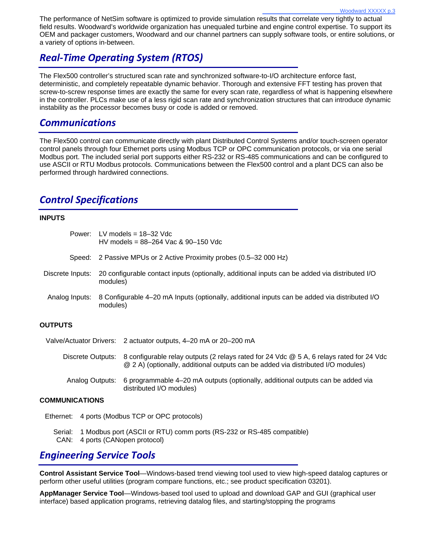The performance of NetSim software is optimized to provide simulation results that correlate very tightly to actual field results. Woodward's worldwide organization has unequaled turbine and engine control expertise. To support its OEM and packager customers, Woodward and our channel partners can supply software tools, or entire solutions, or a variety of options in-between.

## *Real‐Time Operating System (RTOS)*

The Flex500 controller's structured scan rate and synchronized software-to-I/O architecture enforce fast, deterministic, and completely repeatable dynamic behavior. Thorough and extensive FFT testing has proven that screw-to-screw response times are exactly the same for every scan rate, regardless of what is happening elsewhere in the controller. PLCs make use of a less rigid scan rate and synchronization structures that can introduce dynamic instability as the processor becomes busy or code is added or removed.

### *Communications*

The Flex500 control can communicate directly with plant Distributed Control Systems and/or touch-screen operator control panels through four Ethernet ports using Modbus TCP or OPC communication protocols, or via one serial Modbus port. The included serial port supports either RS-232 or RS-485 communications and can be configured to use ASCII or RTU Modbus protocols. Communications between the Flex500 control and a plant DCS can also be performed through hardwired connections.

## *Control Specifications*

#### **INPUTS**

|                                                                  | Power: LV models = $18-32$ Vdc<br>HV models = $88-264$ Vac & $90-150$ Vdc                                  |
|------------------------------------------------------------------|------------------------------------------------------------------------------------------------------------|
|                                                                  | Speed: 2 Passive MPUs or 2 Active Proximity probes (0.5–32 000 Hz)                                         |
| Discrete Inputs:                                                 | 20 configurable contact inputs (optionally, additional inputs can be added via distributed I/O<br>modules) |
| Analog Inputs:                                                   | 8 Configurable 4-20 mA Inputs (optionally, additional inputs can be added via distributed I/O<br>modules)  |
| <b>OUTPUTS</b>                                                   |                                                                                                            |
| Valve/Actuator Drivers: 2 actuator outputs, 4–20 mA or 20–200 mA |                                                                                                            |

Discrete Outputs: 8 configurable relay outputs (2 relays rated for 24 Vdc @ 5 A, 6 relays rated for 24 Vdc @ 2 A) (optionally, additional outputs can be added via distributed I/O modules)

Analog Outputs: 6 programmable 4–20 mA outputs (optionally, additional outputs can be added via distributed I/O modules)

#### **COMMUNICATIONS**

Ethernet: 4 ports (Modbus TCP or OPC protocols)

Serial: 1 Modbus port (ASCII or RTU) comm ports (RS-232 or RS-485 compatible) CAN: 4 ports (CANopen protocol)

## *Engineering Service Tools*

**Control Assistant Service Tool**—Windows-based trend viewing tool used to view high-speed datalog captures or perform other useful utilities (program compare functions, etc.; see product specification 03201).

**AppManager Service Tool**—Windows-based tool used to upload and download GAP and GUI (graphical user interface) based application programs, retrieving datalog files, and starting/stopping the programs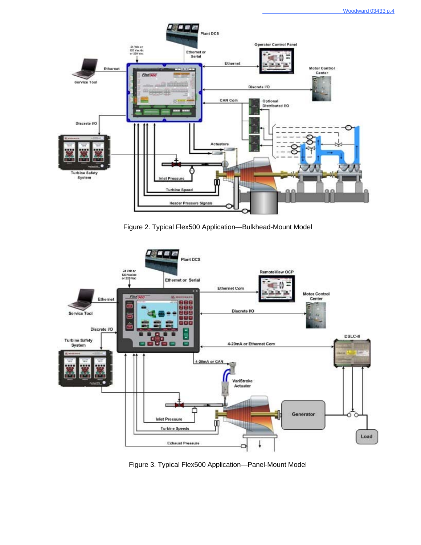

Figure 2. Typical Flex500 Application—Bulkhead-Mount Model



Figure 3. Typical Flex500 Application—Panel-Mount Model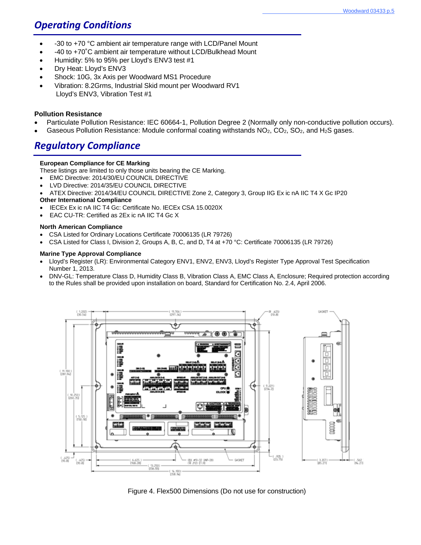## *Operating Conditions*

- -30 to +70 °C ambient air temperature range with LCD/Panel Mount
- -40 to +70˚C ambient air temperature without LCD/Bulkhead Mount
- Humidity: 5% to 95% per Lloyd's ENV3 test #1
- Dry Heat: Lloyd's ENV3
- Shock: 10G, 3x Axis per Woodward MS1 Procedure
- Vibration: 8.2Grms, Industrial Skid mount per Woodward RV1 Lloyd's ENV3, Vibration Test #1

#### **Pollution Resistance**

- Particulate Pollution Resistance: IEC 60664-1, Pollution Degree 2 (Normally only non-conductive pollution occurs).
- Gaseous Pollution Resistance: Module conformal coating withstands NO<sub>2</sub>, CO<sub>2</sub>, SO<sub>2</sub>, and H<sub>2</sub>S gases.

## *Regulatory Compliance*

#### **European Compliance for CE Marking**

These listings are limited to only those units bearing the CE Marking.

- EMC Directive: 2014/30/EU COUNCIL DIRECTIVE
- LVD Directive: 2014/35/EU COUNCIL DIRECTIVE
- ATEX Directive: 2014/34/EU COUNCIL DIRECTIVE Zone 2, Category 3, Group IIG Ex ic nA IIC T4 X Gc IP20

#### **Other International Compliance**

- IECEx Ex ic nA IIC T4 Gc: Certificate No. IECEx CSA 15.0020X
- EAC CU-TR: Certified as 2Ex ic nA IIC T4 Gc X

#### **North American Compliance**

- CSA Listed for Ordinary Locations Certificate 70006135 (LR 79726)
- CSA Listed for Class I, Division 2, Groups A, B, C, and D, T4 at +70 °C: Certificate 70006135 (LR 79726)

#### **Marine Type Approval Compliance**

- Lloyd's Register (LR): Environmental Category ENV1, ENV2, ENV3, Lloyd's Register Type Approval Test Specification Number 1, 2013.
- DNV-GL: Temperature Class D, Humidity Class B, Vibration Class A, EMC Class A, Enclosure; Required protection according to the Rules shall be provided upon installation on board, Standard for Certification No. 2.4, April 2006.



Figure 4. Flex500 Dimensions (Do not use for construction)